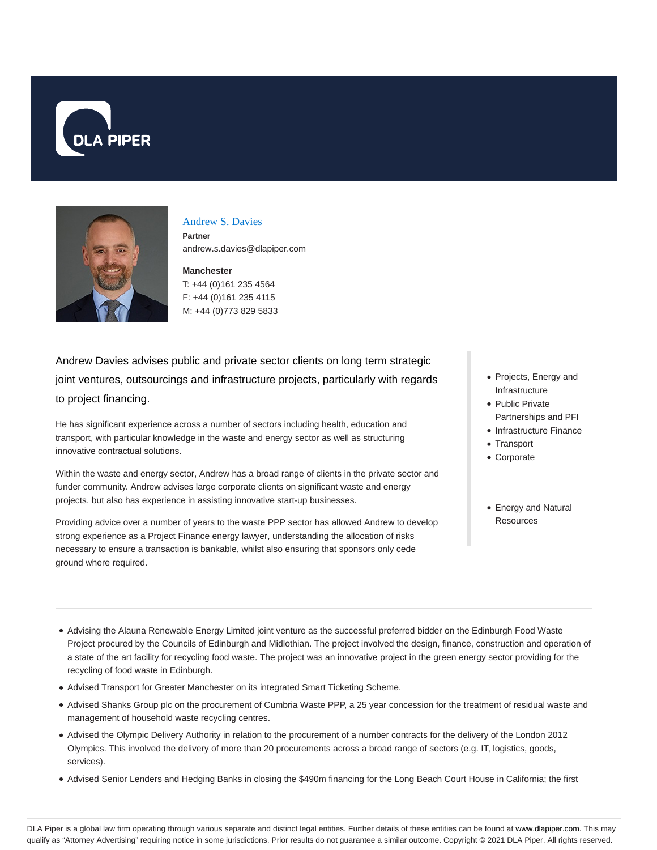



#### Andrew S. Davies

**Partner** andrew.s.davies@dlapiper.com

### **Manchester** T: +44 (0)161 235 4564 F: +44 (0)161 235 4115

M: +44 (0)773 829 5833

Andrew Davies advises public and private sector clients on long term strategic joint ventures, outsourcings and infrastructure projects, particularly with regards to project financing.

He has significant experience across a number of sectors including health, education and transport, with particular knowledge in the waste and energy sector as well as structuring innovative contractual solutions.

Within the waste and energy sector, Andrew has a broad range of clients in the private sector and funder community. Andrew advises large corporate clients on significant waste and energy projects, but also has experience in assisting innovative start-up businesses.

Providing advice over a number of years to the waste PPP sector has allowed Andrew to develop strong experience as a Project Finance energy lawyer, understanding the allocation of risks necessary to ensure a transaction is bankable, whilst also ensuring that sponsors only cede ground where required.

- Projects, Energy and Infrastructure
- Public Private Partnerships and PFI
- Infrastructure Finance
- Transport
- Corporate
- Energy and Natural **Resources**

- Advising the Alauna Renewable Energy Limited joint venture as the successful preferred bidder on the Edinburgh Food Waste Project procured by the Councils of Edinburgh and Midlothian. The project involved the design, finance, construction and operation of a state of the art facility for recycling food waste. The project was an innovative project in the green energy sector providing for the recycling of food waste in Edinburgh.
- Advised Transport for Greater Manchester on its integrated Smart Ticketing Scheme.
- Advised Shanks Group plc on the procurement of Cumbria Waste PPP, a 25 year concession for the treatment of residual waste and management of household waste recycling centres.
- Advised the Olympic Delivery Authority in relation to the procurement of a number contracts for the delivery of the London 2012 Olympics. This involved the delivery of more than 20 procurements across a broad range of sectors (e.g. IT, logistics, goods, services).
- Advised Senior Lenders and Hedging Banks in closing the \$490m financing for the Long Beach Court House in California; the first

DLA Piper is a global law firm operating through various separate and distinct legal entities. Further details of these entities can be found at www.dlapiper.com. This may qualify as "Attorney Advertising" requiring notice in some jurisdictions. Prior results do not guarantee a similar outcome. Copyright © 2021 DLA Piper. All rights reserved.